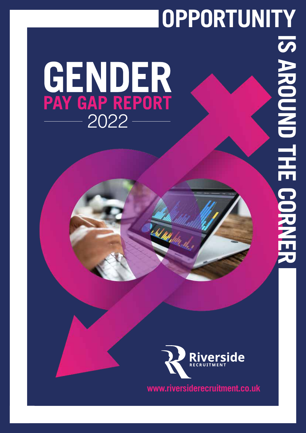# **OPPORTUNITY**

# GENDER<br>PAY GAP REPORT



**Subd With blue allers** 

**www.riversiderecruitment.co.uk**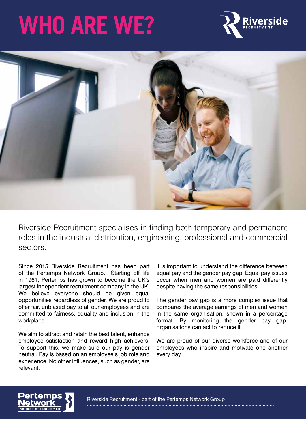## **WHO ARE WE?**





Riverside Recruitment specialises in finding both temporary and permanent roles in the industrial distribution, engineering, professional and commercial sectors.

Since 2015 Riverside Recruitment has been part of the Pertemps Network Group. Starting off life in 1961, Pertemps has grown to become the UK's largest independent recruitment company in the UK. We believe everyone should be given equal opportunities regardless of gender. We are proud to offer fair, unbiased pay to all our employees and are committed to fairness, equality and inclusion in the workplace.

We aim to attract and retain the best talent, enhance employee satisfaction and reward high achievers. To support this, we make sure our pay is gender neutral. Pay is based on an employee's job role and experience. No other influences, such as gender, are relevant.

It is important to understand the difference between equal pay and the gender pay gap. Equal pay issues occur when men and women are paid differently despite having the same responsibilities.

The gender pay gap is a more complex issue that compares the average earnings of men and women in the same organisation, shown in a percentage format. By monitoring the gender pay gap, organisations can act to reduce it.

We are proud of our diverse workforce and of our employees who inspire and motivate one another every day.

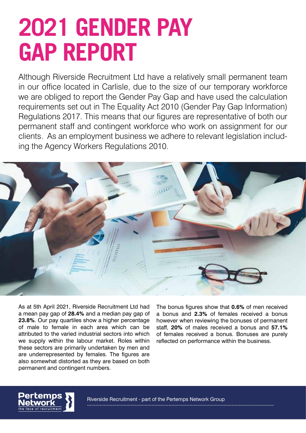### **2021 GENDER PAY GAP REPORT**

Although Riverside Recruitment Ltd have a relatively small permanent team in our office located in Carlisle, due to the size of our temporary workforce we are obliged to report the Gender Pay Gap and have used the calculation requirements set out in The Equality Act 2010 (Gender Pay Gap Information) Regulations 2017. This means that our figures are representative of both our permanent staff and contingent workforce who work on assignment for our clients. As an employment business we adhere to relevant legislation including the Agency Workers Regulations 2010.



As at 5th April 2021, Riverside Recruitment Ltd had a mean pay gap of **28.4%** and a median pay gap of **23.8%**. Our pay quartiles show a higher percentage of male to female in each area which can be attributed to the varied industrial sectors into which we supply within the labour market. Roles within these sectors are primarily undertaken by men and are underrepresented by females. The figures are also somewhat distorted as they are based on both permanent and contingent numbers.

The bonus figures show that **0.6%** of men received a bonus and **2.3%** of females received a bonus however when reviewing the bonuses of permanent staff, **20%** of males received a bonus and **57.1%** of females received a bonus. Bonuses are purely reflected on performance within the business.

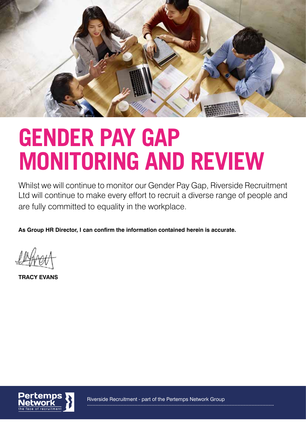

#### **GENDER PAY GAP MONITORING AND REVIEW**

Whilst we will continue to monitor our Gender Pay Gap, Riverside Recruitment Ltd will continue to make every effort to recruit a diverse range of people and are fully committed to equality in the workplace.

**As Group HR Director, I can confirm the information contained herein is accurate.**

**TRACY EVANS**